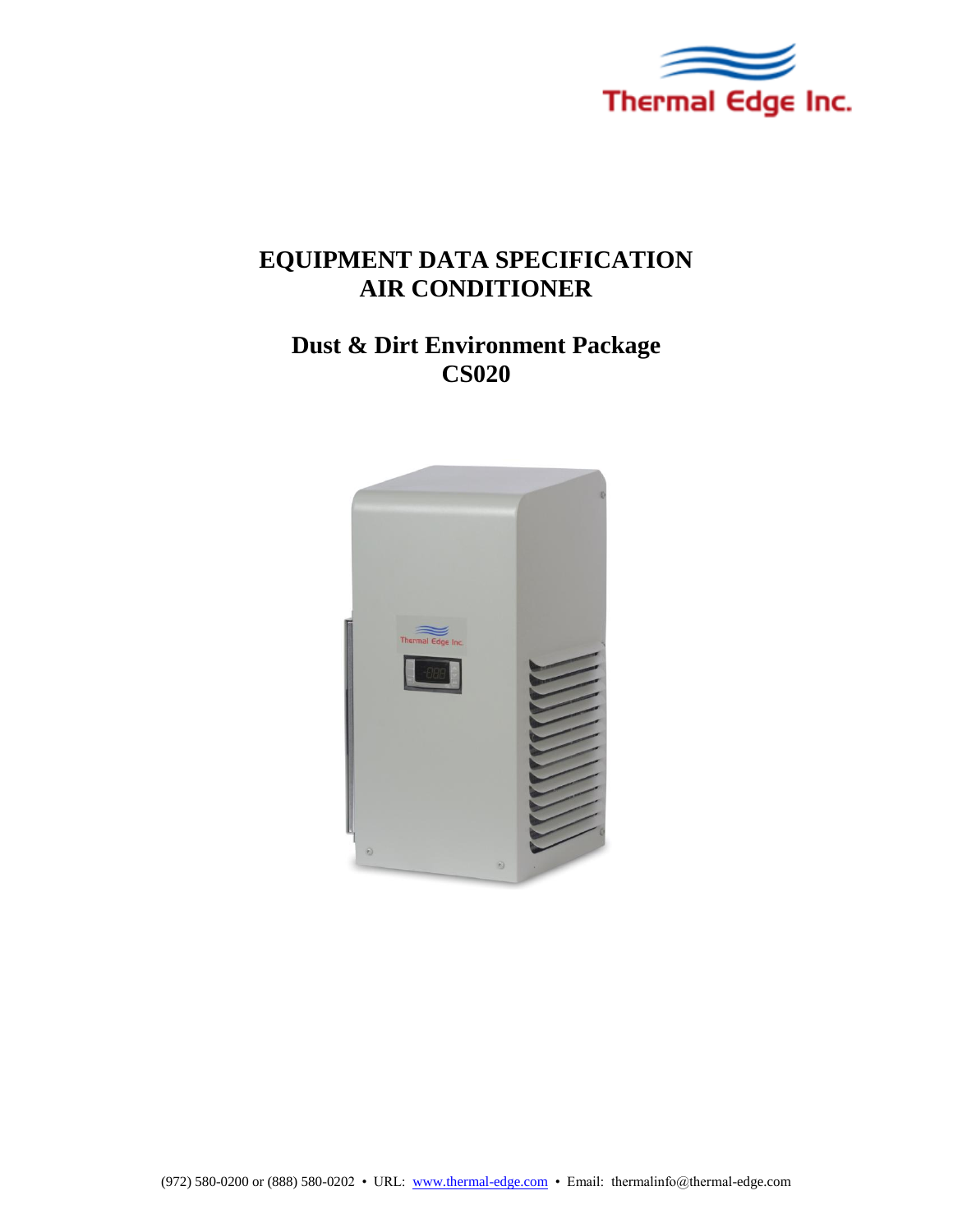

# **EQUIPMENT DATA SPECIFICATION AIR CONDITIONER**

# **Dust & Dirt Environment Package CS020**

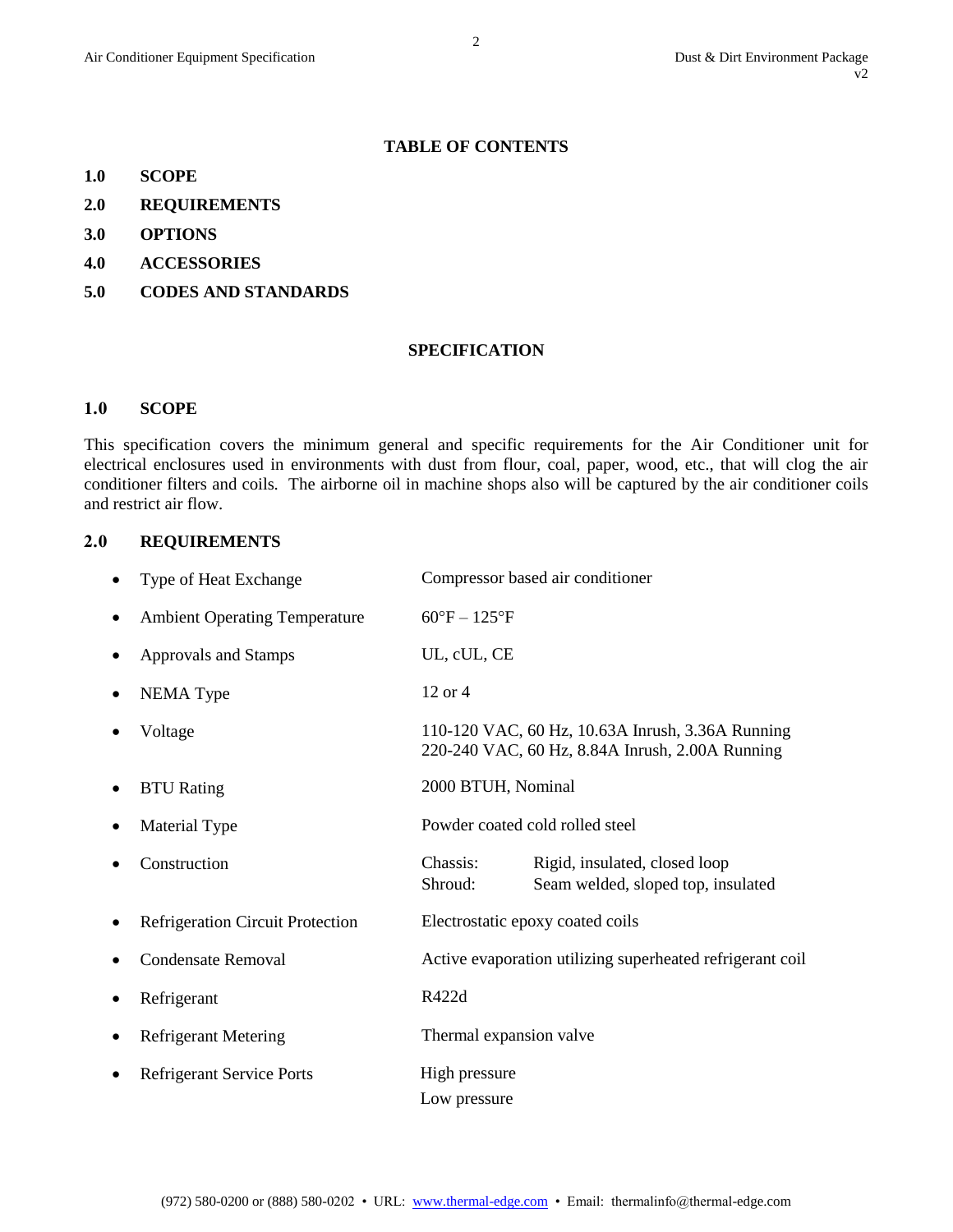### **TABLE OF CONTENTS**

- **1.0 SCOPE**
- **2.0 REQUIREMENTS**
- **3.0 OPTIONS**
- **4.0 ACCESSORIES**
- **5.0 CODES AND STANDARDS**

#### **SPECIFICATION**

#### **1.0 SCOPE**

This specification covers the minimum general and specific requirements for the Air Conditioner unit for electrical enclosures used in environments with dust from flour, coal, paper, wood, etc., that will clog the air conditioner filters and coils. The airborne oil in machine shops also will be captured by the air conditioner coils and restrict air flow.

#### **2.0 REQUIREMENTS**

| Type of Heat Exchange                |                                 | Compressor based air conditioner                                                                    |
|--------------------------------------|---------------------------------|-----------------------------------------------------------------------------------------------------|
| <b>Ambient Operating Temperature</b> | $60^{\circ}F - 125^{\circ}F$    |                                                                                                     |
| <b>Approvals and Stamps</b>          | UL, cUL, CE                     |                                                                                                     |
| <b>NEMA</b> Type                     | 12 or 4                         |                                                                                                     |
| Voltage                              |                                 | 110-120 VAC, 60 Hz, 10.63A Inrush, 3.36A Running<br>220-240 VAC, 60 Hz, 8.84A Inrush, 2.00A Running |
| <b>BTU</b> Rating                    | 2000 BTUH, Nominal              |                                                                                                     |
| Material Type                        | Powder coated cold rolled steel |                                                                                                     |
| Construction                         | Chassis:<br>Shroud:             | Rigid, insulated, closed loop<br>Seam welded, sloped top, insulated                                 |
| Refrigeration Circuit Protection     |                                 | Electrostatic epoxy coated coils                                                                    |
| <b>Condensate Removal</b>            |                                 | Active evaporation utilizing superheated refrigerant coil                                           |
| Refrigerant                          | R422d                           |                                                                                                     |
| <b>Refrigerant Metering</b>          | Thermal expansion valve         |                                                                                                     |
| <b>Refrigerant Service Ports</b>     | High pressure<br>Low pressure   |                                                                                                     |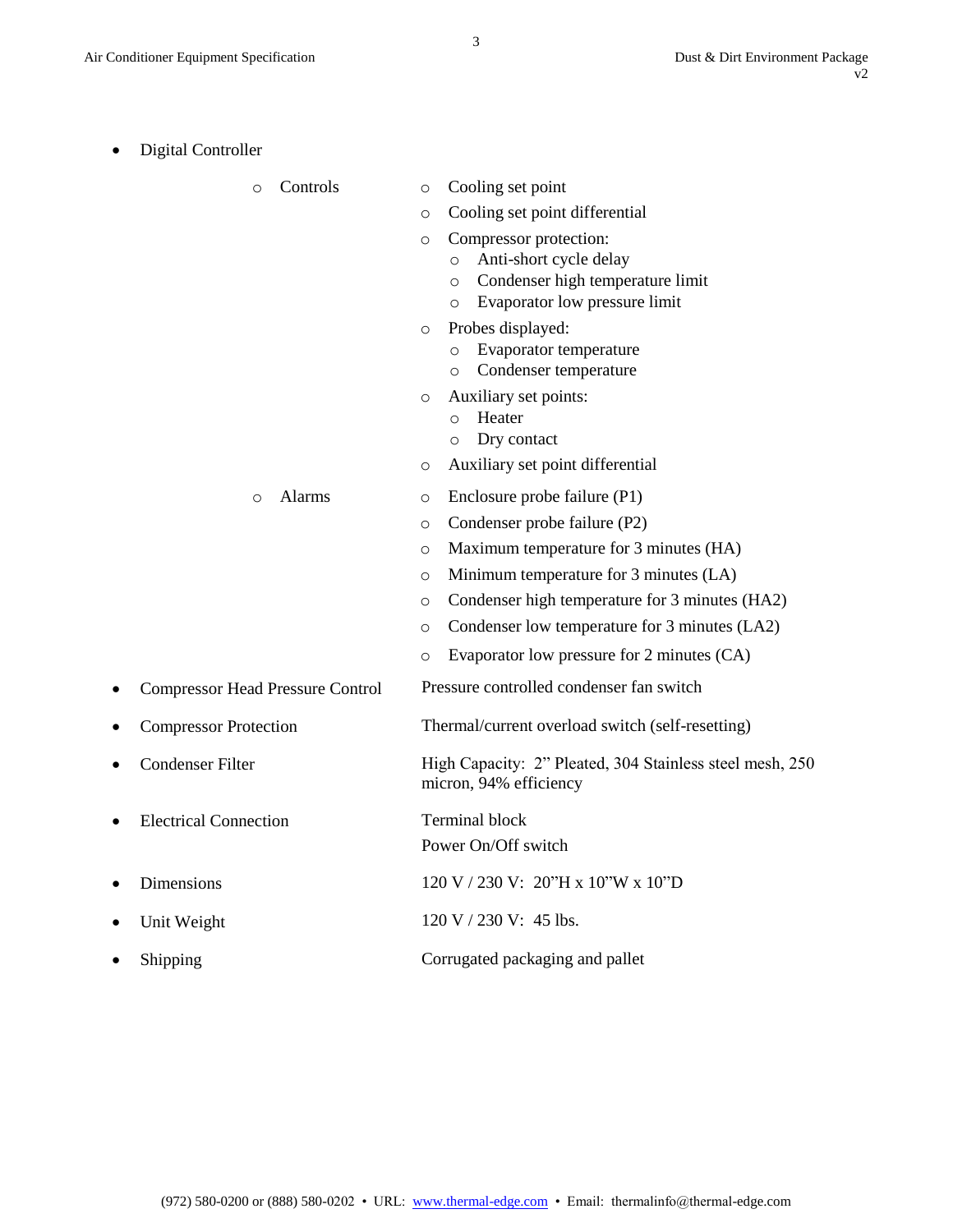| Digital Controller                      |                                                                                                                                                                                                                                                                                                                                                      |  |
|-----------------------------------------|------------------------------------------------------------------------------------------------------------------------------------------------------------------------------------------------------------------------------------------------------------------------------------------------------------------------------------------------------|--|
| Controls<br>$\circ$                     | Cooling set point<br>O<br>Cooling set point differential<br>O<br>Compressor protection:<br>O<br>Anti-short cycle delay<br>$\circ$<br>Condenser high temperature limit<br>O<br>Evaporator low pressure limit<br>O<br>Probes displayed:<br>O<br>Evaporator temperature<br>O<br>Condenser temperature<br>O<br>Auxiliary set points:<br>O<br>Heater<br>O |  |
| Alarms<br>$\circ$                       | Dry contact<br>O<br>Auxiliary set point differential<br>O<br>Enclosure probe failure (P1)<br>O<br>Condenser probe failure (P2)<br>O<br>Maximum temperature for 3 minutes (HA)<br>O<br>Minimum temperature for 3 minutes (LA)<br>O<br>Condenser high temperature for 3 minutes (HA2)<br>O<br>Condenser low temperature for 3 minutes (LA2)<br>O       |  |
| <b>Compressor Head Pressure Control</b> | Evaporator low pressure for 2 minutes (CA)<br>O<br>Pressure controlled condenser fan switch                                                                                                                                                                                                                                                          |  |
| <b>Compressor Protection</b>            | Thermal/current overload switch (self-resetting)                                                                                                                                                                                                                                                                                                     |  |
| <b>Condenser Filter</b>                 | High Capacity: 2" Pleated, 304 Stainless steel mesh, 250<br>micron, 94% efficiency                                                                                                                                                                                                                                                                   |  |
| <b>Electrical Connection</b>            | <b>Terminal block</b><br>Power On/Off switch                                                                                                                                                                                                                                                                                                         |  |
| Dimensions                              | 120 V / 230 V: 20"H x 10"W x 10"D                                                                                                                                                                                                                                                                                                                    |  |
| Unit Weight                             | 120 V / 230 V: 45 lbs.                                                                                                                                                                                                                                                                                                                               |  |
| Shipping                                | Corrugated packaging and pallet                                                                                                                                                                                                                                                                                                                      |  |

3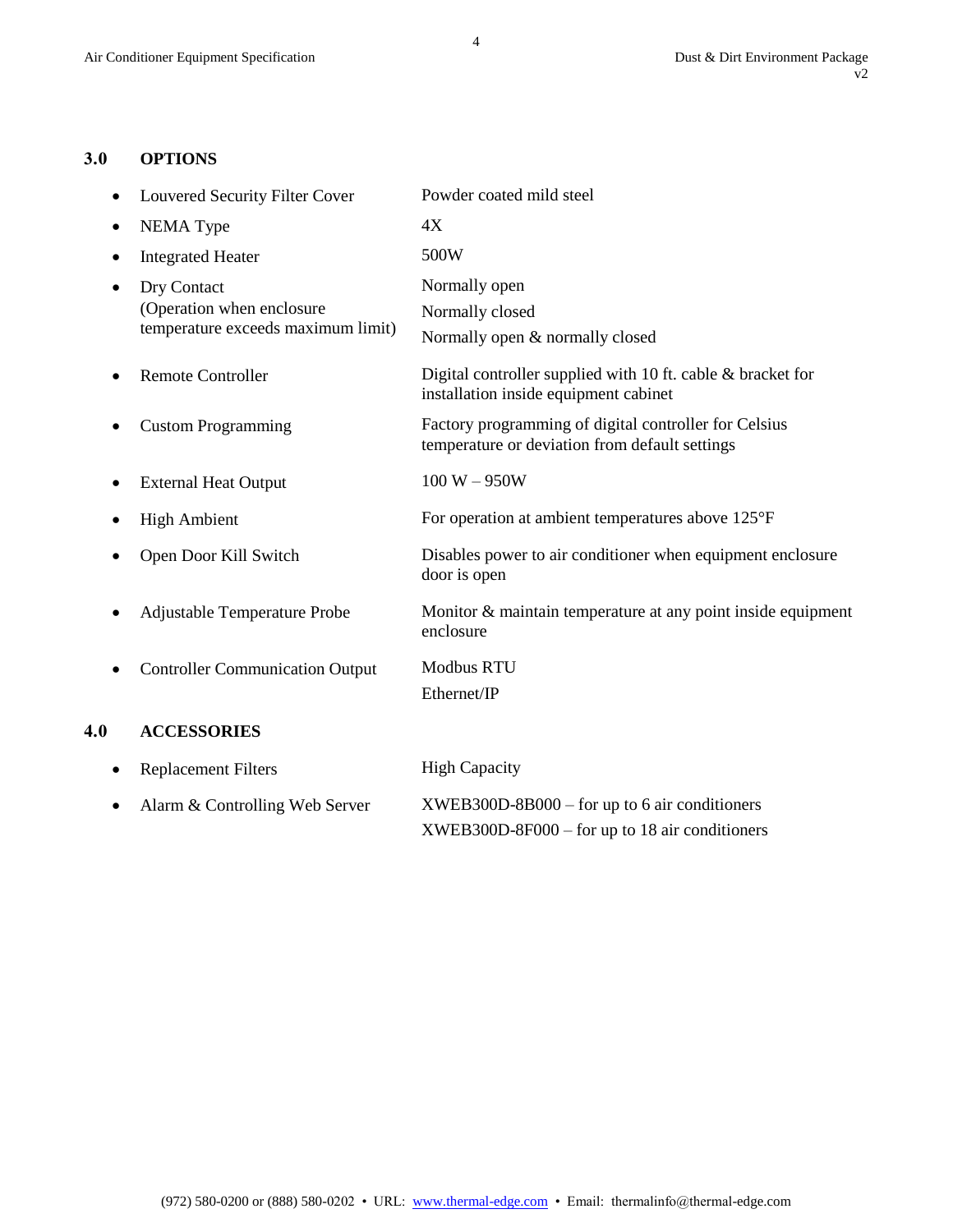### **3.0 OPTIONS**

|     | Louvered Security Filter Cover                                                 | Powder coated mild steel                                                                                                                          |  |
|-----|--------------------------------------------------------------------------------|---------------------------------------------------------------------------------------------------------------------------------------------------|--|
|     | <b>NEMA</b> Type                                                               | 4X                                                                                                                                                |  |
| ٠   | <b>Integrated Heater</b>                                                       | 500W<br>Normally open<br>Normally closed<br>Normally open & normally closed                                                                       |  |
|     | Dry Contact<br>(Operation when enclosure<br>temperature exceeds maximum limit) |                                                                                                                                                   |  |
|     | <b>Remote Controller</b>                                                       | Digital controller supplied with 10 ft. cable $\&$ bracket for<br>installation inside equipment cabinet                                           |  |
|     | <b>Custom Programming</b>                                                      | Factory programming of digital controller for Celsius<br>temperature or deviation from default settings                                           |  |
|     | <b>External Heat Output</b>                                                    | $100 W - 950W$<br>For operation at ambient temperatures above 125°F<br>Disables power to air conditioner when equipment enclosure<br>door is open |  |
|     | <b>High Ambient</b>                                                            |                                                                                                                                                   |  |
|     | Open Door Kill Switch                                                          |                                                                                                                                                   |  |
|     | Adjustable Temperature Probe                                                   | Monitor & maintain temperature at any point inside equipment<br>enclosure                                                                         |  |
|     | <b>Controller Communication Output</b>                                         | <b>Modbus RTU</b><br>Ethernet/IP                                                                                                                  |  |
| 4.0 | <b>ACCESSORIES</b>                                                             |                                                                                                                                                   |  |
|     | <b>Replacement Filters</b>                                                     | <b>High Capacity</b>                                                                                                                              |  |
|     | Alarm & Controlling Web Server                                                 | $XWEB300D-8B000 - for up to 6 air conditions$                                                                                                     |  |

XWEB300D-8F000 – for up to 18 air conditioners

4